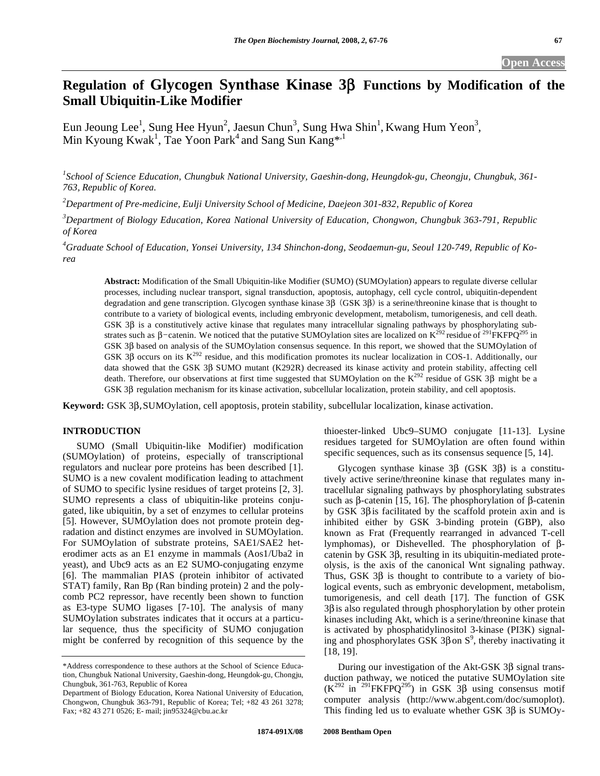# **Regulation of Glycogen Synthase Kinase 3** $\beta$  **Functions by Modification of the Small Ubiquitin-Like Modifier**

Eun Jeoung Lee<sup>1</sup>, Sung Hee Hyun<sup>2</sup>, Jaesun Chun<sup>3</sup>, Sung Hwa Shin<sup>1</sup>, Kwang Hum Yeon<sup>3</sup>, Min Kyoung Kwak<sup>1</sup>, Tae Yoon Park<sup>4</sup> and Sang Sun Kang<sup>\*,1</sup>

*1 School of Science Education, Chungbuk National University, Gaeshin-dong, Heungdok-gu, Cheongju, Chungbuk, 361- 763, Republic of Korea.* 

*2 Department of Pre-medicine, Eulji University School of Medicine, Daejeon 301-832, Republic of Korea* 

*3 Department of Biology Education, Korea National University of Education, Chongwon, Chungbuk 363-791, Republic of Korea* 

*4 Graduate School of Education, Yonsei University, 134 Shinchon-dong, Seodaemun-gu, Seoul 120-749, Republic of Korea* 

**Abstract:** Modification of the Small Ubiquitin-like Modifier (SUMO) (SUMOylation) appears to regulate diverse cellular processes, including nuclear transport, signal transduction, apoptosis, autophagy, cell cycle control, ubiquitin-dependent degradation and gene transcription. Glycogen synthase kinase  $3\beta$  (GSK  $3\beta$ ) is a serine/threonine kinase that is thought to contribute to a variety of biological events, including embryonic development, metabolism, tumorigenesis, and cell death. GSK 3 $\beta$  is a constitutively active kinase that regulates many intracellular signaling pathways by phosphorylating substrates such as  $\beta$ -catenin. We noticed that the putative SUMOylation sites are localized on  $K^{292}$  residue of <sup>291</sup>FKFPQ<sup>295</sup> in GSK 3B based on analysis of the SUMOylation consensus sequence. In this report, we showed that the SUMOylation of GSK 3 $\beta$  occurs on its K<sup>292</sup> residue, and this modification promotes its nuclear localization in COS-1. Additionally, our data showed that the GSK 3ß SUMO mutant (K292R) decreased its kinase activity and protein stability, affecting cell death. Therefore, our observations at first time suggested that SUMOylation on the  $K^{292}$  residue of GSK 3 $\beta$  might be a GSK 3 $\beta$  regulation mechanism for its kinase activation, subcellular localization, protein stability, and cell apoptosis.

**Keyword:** GSK 3B, SUMOylation, cell apoptosis, protein stability, subcellular localization, kinase activation.

# **INTRODUCTION**

 SUMO (Small Ubiquitin-like Modifier) modification (SUMOylation) of proteins, especially of transcriptional regulators and nuclear pore proteins has been described [1]. SUMO is a new covalent modification leading to attachment of SUMO to specific lysine residues of target proteins [2, 3]. SUMO represents a class of ubiquitin-like proteins conjugated, like ubiquitin, by a set of enzymes to cellular proteins [5]. However, SUMOylation does not promote protein degradation and distinct enzymes are involved in SUMOylation. For SUMOylation of substrate proteins, SAE1/SAE2 heterodimer acts as an E1 enzyme in mammals (Aos1/Uba2 in yeast), and Ubc9 acts as an E2 SUMO-conjugating enzyme [6]. The mammalian PIAS (protein inhibitor of activated STAT) family, Ran Bp (Ran binding protein) 2 and the polycomb PC2 repressor, have recently been shown to function as E3-type SUMO ligases [7-10]. The analysis of many SUMOylation substrates indicates that it occurs at a particular sequence, thus the specificity of SUMO conjugation might be conferred by recognition of this sequence by the

thioester-linked Ubc9–SUMO conjugate [11-13]. Lysine residues targeted for SUMOylation are often found within specific sequences, such as its consensus sequence [5, 14].

Glycogen synthase kinase  $3\beta$  (GSK  $3\beta$ ) is a constitutively active serine/threonine kinase that regulates many intracellular signaling pathways by phosphorylating substrates such as  $\beta$ -catenin [15, 16]. The phosphorylation of  $\beta$ -catenin by GSK  $3\beta$  is facilitated by the scaffold protein axin and is inhibited either by GSK 3-binding protein (GBP), also known as Frat (Frequently rearranged in advanced T-cell lymphomas), or Dishevelled. The phosphorylation of  $\beta$ catenin by GSK  $3\beta$ , resulting in its ubiquitin-mediated proteolysis, is the axis of the canonical Wnt signaling pathway. Thus, GSK  $3\beta$  is thought to contribute to a variety of biological events, such as embryonic development, metabolism, tumorigenesis, and cell death [17]. The function of GSK  $3\beta$  is also regulated through phosphorylation by other protein kinases including Akt, which is a serine/threonine kinase that is activated by phosphatidylinositol 3-kinase (PI3K) signaling and phosphorylates GSK 3 $\beta$  on S<sup>9</sup>, thereby inactivating it [18, 19].

During our investigation of the Akt-GSK  $3\beta$  signal transduction pathway, we noticed the putative SUMOylation site  $(K^{292}$  in <sup>291</sup>FKFPQ<sup>295</sup>) in GSK 3<sup>β</sup> using consensus motif computer analysis (http://www.abgent.com/doc/sumoplot). This finding led us to evaluate whether GSK  $3\beta$  is SUMOy-

<sup>\*</sup>Address correspondence to these authors at the School of Science Education, Chungbuk National University, Gaeshin-dong, Heungdok-gu, Chongju, Chungbuk, 361-763, Republic of Korea

Department of Biology Education, Korea National University of Education, Chongwon, Chungbuk 363-791, Republic of Korea; Tel; +82 43 261 3278; Fax; +82 43 271 0526; E- mail; jin95324@cbu.ac.kr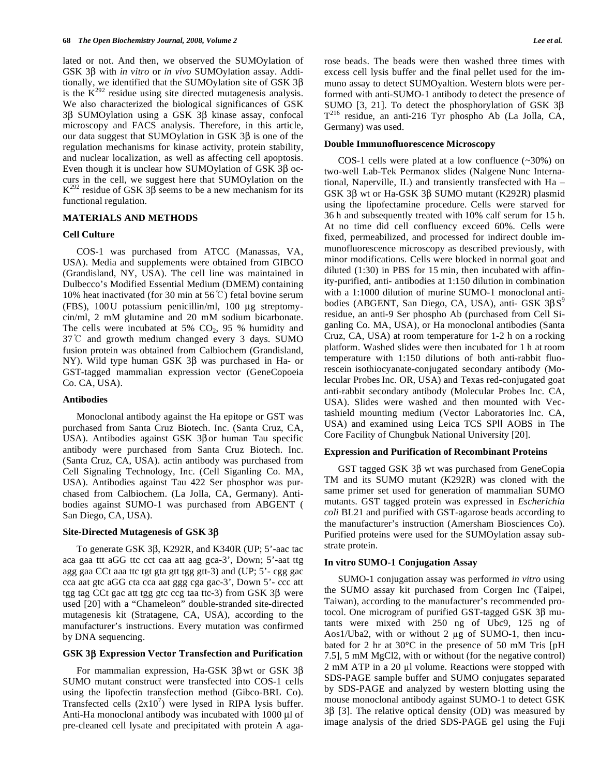lated or not. And then, we observed the SUMOylation of GSK 3 $\beta$  with *in vitro* or *in vivo* SUMOylation assay. Additionally, we identified that the SUMOylation site of GSK  $3\beta$ is the  $K^{292}$  residue using site directed mutagenesis analysis. We also characterized the biological significances of GSK  $3\beta$  SUMOylation using a GSK  $3\beta$  kinase assay, confocal microscopy and FACS analysis. Therefore, in this article, our data suggest that SUMOylation in GSK  $3\beta$  is one of the regulation mechanisms for kinase activity, protein stability, and nuclear localization, as well as affecting cell apoptosis. Even though it is unclear how SUMOylation of GSK  $3\beta$  occurs in the cell, we suggest here that SUMOylation on the  $K^{292}$  residue of GSK 3 $\beta$  seems to be a new mechanism for its functional regulation.

### **MATERIALS AND METHODS**

#### **Cell Culture**

 COS-1 was purchased from ATCC (Manassas, VA, USA). Media and supplements were obtained from GIBCO (Grandisland, NY, USA). The cell line was maintained in Dulbecco's Modified Essential Medium (DMEM) containing 10% heat inactivated (for 30 min at 56 $\degree$ C) fetal bovine serum (FBS), 100U potassium penicillin/ml, 100 μg streptomycin/ml, 2 mM glutamine and 20 mM sodium bicarbonate. The cells were incubated at 5%  $CO<sub>2</sub>$ , 95 % humidity and  $37^{\circ}$ C and growth medium changed every 3 days. SUMO fusion protein was obtained from Calbiochem (Grandisland, NY). Wild type human GSK  $3\beta$  was purchased in Ha- or GST-tagged mammalian expression vector (GeneCopoeia Co. CA, USA).

## **Antibodies**

 Monoclonal antibody against the Ha epitope or GST was purchased from Santa Cruz Biotech. Inc. (Santa Cruz, CA, USA). Antibodies against GSK  $3\beta$  or human Tau specific antibody were purchased from Santa Cruz Biotech. Inc. (Santa Cruz, CA, USA). actin antibody was purchased from Cell Signaling Technology, Inc. (Cell Siganling Co. MA, USA). Antibodies against Tau 422 Ser phosphor was purchased from Calbiochem. (La Jolla, CA, Germany). Antibodies against SUMO-1 was purchased from ABGENT ( San Diego, CA, USA).

#### **Site-Directed Mutagenesis of GSK 3**

To generate GSK  $3\beta$ , K292R, and K340R (UP; 5'-aac tac aca gaa ttt aGG ttc cct caa att aag gca-3', Down; 5'-aat ttg agg gaa CCt aaa ttc tgt gta gtt tgg gtt-3) and (UP; 5'- cgg gac cca aat gtc aGG cta cca aat ggg cga gac-3', Down 5'- ccc att tgg tag CCt gac att tgg gtc ccg taa ttc-3) from GSK  $3\beta$  were used [20] with a "Chameleon" double-stranded site-directed mutagenesis kit (Stratagene, CA, USA), according to the manufacturer's instructions. Every mutation was confirmed by DNA sequencing.

#### **GSK 3 Expression Vector Transfection and Purification**

For mammalian expression, Ha-GSK  $3\beta$  wt or GSK  $3\beta$ SUMO mutant construct were transfected into COS-1 cells using the lipofectin transfection method (Gibco-BRL Co). Transfected cells  $(2x10^7)$  were lysed in RIPA lysis buffer. Anti-Ha monoclonal antibody was incubated with 1000 μl of pre-cleaned cell lysate and precipitated with protein A agarose beads. The beads were then washed three times with excess cell lysis buffer and the final pellet used for the immuno assay to detect SUMOyaltion. Western blots were performed with anti-SUMO-1 antibody to detect the presence of SUMO [3, 21]. To detect the phosphorylation of GSK  $3\beta$  $T^{216}$  residue, an anti-216 Tyr phospho Ab (La Jolla, CA, Germany) was used.

#### **Double Immunofluorescence Microscopy**

 COS-1 cells were plated at a low confluence (~30%) on two-well Lab-Tek Permanox slides (Nalgene Nunc International, Naperville, IL) and transiently transfected with Ha – GSK 3 $\beta$  wt or Ha-GSK 3 $\beta$  SUMO mutant (K292R) plasmid using the lipofectamine procedure. Cells were starved for 36 h and subsequently treated with 10% calf serum for 15 h. At no time did cell confluency exceed 60%. Cells were fixed, permeabilized, and processed for indirect double immunofluorescence microscopy as described previously, with minor modifications. Cells were blocked in normal goat and diluted (1:30) in PBS for 15 min, then incubated with affinity-purified, anti- antibodies at 1:150 dilution in combination with a 1:1000 dilution of murine SUMO-1 monoclonal antibodies (ABGENT, San Diego, CA, USA), anti- GSK  $3\beta S^9$ residue, an anti-9 Ser phospho Ab (purchased from Cell Siganling Co. MA, USA), or Ha monoclonal antibodies (Santa Cruz, CA, USA) at room temperature for 1-2 h on a rocking platform. Washed slides were then incubated for 1 h at room temperature with 1:150 dilutions of both anti-rabbit fluorescein isothiocyanate-conjugated secondary antibody (Molecular Probes Inc. OR, USA) and Texas red-conjugated goat anti-rabbit secondary antibody (Molecular Probes Inc. CA, USA). Slides were washed and then mounted with Vectashield mounting medium (Vector Laboratories Inc. CA, USA) and examined using Leica TCS SPII AOBS in The Core Facility of Chungbuk National University [20].

#### **Expression and Purification of Recombinant Proteins**

GST tagged GSK  $3\beta$  wt was purchased from GeneCopia TM and its SUMO mutant (K292R) was cloned with the same primer set used for generation of mammalian SUMO mutants. GST tagged protein was expressed in *Escherichia coli* BL21 and purified with GST-agarose beads according to the manufacturer's instruction (Amersham Biosciences Co). Purified proteins were used for the SUMOylation assay substrate protein.

#### **In vitro SUMO-1 Conjugation Assay**

 SUMO-1 conjugation assay was performed *in vitro* using the SUMO assay kit purchased from Corgen Inc (Taipei, Taiwan), according to the manufacturer's recommended protocol. One microgram of purified GST-tagged GSK  $3\beta$  mutants were mixed with 250 ng of Ubc9, 125 ng of Aos1/Uba2, with or without 2  $\mu$ g of SUMO-1, then incubated for 2 hr at 30°C in the presence of 50 mM Tris [pH 7.5], 5 mM MgCl2, with or without (for the negative control)  $2 \text{ mM ATP}$  in a  $20 \text{ µl}$  volume. Reactions were stopped with SDS-PAGE sample buffer and SUMO conjugates separated by SDS-PAGE and analyzed by western blotting using the mouse monoclonal antibody against SUMO-1 to detect GSK  $3\beta$  [3]. The relative optical density (OD) was measured by image analysis of the dried SDS-PAGE gel using the Fuji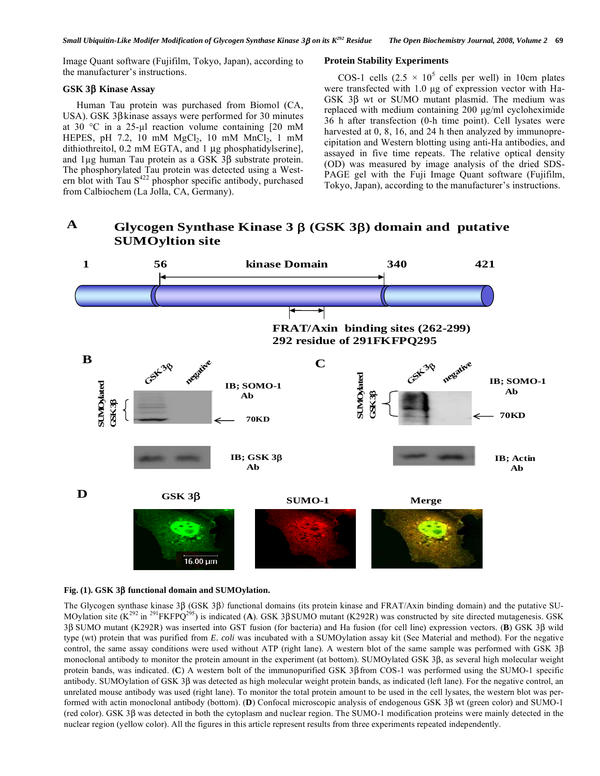Image Quant software (Fujifilm, Tokyo, Japan), according to the manufacturer's instructions.

## **GSK 3 Kinase Assay**

 Human Tau protein was purchased from Biomol (CA, USA). GSK  $3\beta$  kinase assays were performed for 30 minutes at 30  $\degree$ C in a 25-µl reaction volume containing [20 mM HEPES, pH 7.2, 10 mM  $MgCl<sub>2</sub>$ , 10 mM  $MnCl<sub>2</sub>$ , 1 mM dithiothreitol, 0.2 mM EGTA, and 1 μg phosphatidylserine], and  $1\mu$ g human Tau protein as a GSK 3 $\beta$  substrate protein. The phosphorylated Tau protein was detected using a Western blot with Tau  $S^{422}$  phosphor specific antibody, purchased from Calbiochem (La Jolla, CA, Germany).

# **Protein Stability Experiments**

COS-1 cells  $(2.5 \times 10^5 \text{ cells per well})$  in 10cm plates were transfected with 1.0 μg of expression vector with Ha-GSK  $3\beta$  wt or SUMO mutant plasmid. The medium was replaced with medium containing 200 μg/ml cycloheximide 36 h after transfection (0-h time point). Cell lysates were harvested at 0, 8, 16, and 24 h then analyzed by immunoprecipitation and Western blotting using anti-Ha antibodies, and assayed in five time repeats. The relative optical density (OD) was measured by image analysis of the dried SDS-PAGE gel with the Fuji Image Quant software (Fujifilm, Tokyo, Japan), according to the manufacturer's instructions.

#### **Glycogen Synthase Kinase 3** β **(GSK 3**β**) domain and putative SUMOyltion site A**



## **Fig. (1). GSK 3 functional domain and SUMOylation.**

The Glycogen synthase kinase 3B (GSK 3B) functional domains (its protein kinase and FRAT/Axin binding domain) and the putative SU-MOylation site  $(K^{292}$  in <sup>291</sup>FKFPQ<sup>295</sup>) is indicated (A). GSK 3 $\beta$ SUMO mutant (K292R) was constructed by site directed mutagenesis. GSK 3 SUMO mutant (K292R) was inserted into GST fusion (for bacteria) and Ha fusion (for cell line) expression vectors. (**B**) GSK 3 wild type (wt) protein that was purified from *E. coli* was incubated with a SUMOylation assay kit (See Material and method). For the negative control, the same assay conditions were used without ATP (right lane). A western blot of the same sample was performed with GSK 3 monoclonal antibody to monitor the protein amount in the experiment (at bottom). SUMOylated GSK 3B, as several high molecular weight protein bands, was indicated. (C) A western bolt of the immunopurified GSK 3B from COS-1 was performed using the SUMO-1 specific antibody. SUMOylation of GSK  $3\beta$  was detected as high molecular weight protein bands, as indicated (left lane). For the negative control, an unrelated mouse antibody was used (right lane). To monitor the total protein amount to be used in the cell lysates, the western blot was performed with actin monoclonal antibody (bottom). **(D**) Confocal microscopic analysis of endogenous GSK 3 $\beta$  wt (green color) and SUMO-1 (red color). GSK 3 was detected in both the cytoplasm and nuclear region. The SUMO-1 modification proteins were mainly detected in the nuclear region (yellow color). All the figures in this article represent results from three experiments repeated independently.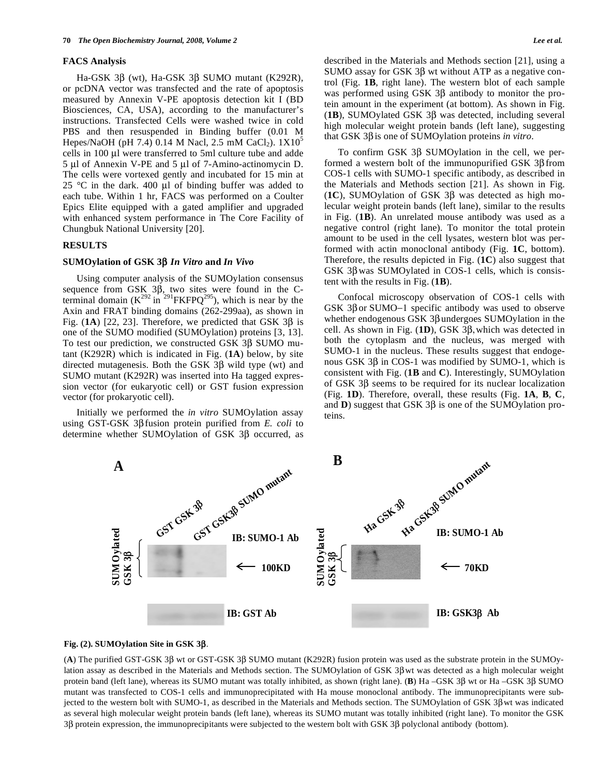## **FACS Analysis**

Ha-GSK 3β (wt), Ha-GSK 3β SUMO mutant (K292R), or pcDNA vector was transfected and the rate of apoptosis measured by Annexin V-PE apoptosis detection kit I (BD Biosciences, CA, USA), according to the manufacturer's instructions. Transfected Cells were washed twice in cold PBS and then resuspended in Binding buffer (0.01 M Hepes/NaOH (pH 7.4) 0.14 M Nacl, 2.5 mM CaCl<sub>2</sub>).  $1X10^5$ cells in 100 μl were transferred to 5ml culture tube and adde 5 μl of Annexin V-PE and 5 μl of 7-Amino-actinomycin D. The cells were vortexed gently and incubated for 15 min at 25 °C in the dark. 400  $\mu$ l of binding buffer was added to each tube. Within 1 hr, FACS was performed on a Coulter Epics Elite equipped with a gated amplifier and upgraded with enhanced system performance in The Core Facility of Chungbuk National University [20].

#### **RESULTS**

## SUMOylation of GSK 3β *In Vitro* and *In Vivo*

 Using computer analysis of the SUMOylation consensus sequence from GSK  $3\beta$ , two sites were found in the Cterminal domain  $(K^{292} \text{ in }^{291} \text{FKFPQ}^{295})$ , which is near by the Axin and FRAT binding domains (262-299aa), as shown in Fig.  $(1A)$  [22, 23]. Therefore, we predicted that GSK 3 $\beta$  is one of the SUMO modified (SUMOylation) proteins [3, 13]. To test our prediction, we constructed GSK  $3\beta$  SUMO mutant (K292R) which is indicated in Fig. (**1A**) below, by site directed mutagenesis. Both the GSK  $3\beta$  wild type (wt) and SUMO mutant (K292R) was inserted into Ha tagged expression vector (for eukaryotic cell) or GST fusion expression vector (for prokaryotic cell).

 Initially we performed the *in vitro* SUMOylation assay using GST-GSK 3β fusion protein purified from *E. coli* to determine whether SUMOylation of GSK  $3\beta$  occurred, as described in the Materials and Methods section [21], using a SUMO assay for GSK  $3\beta$  wt without ATP as a negative control (Fig. **1B**, right lane). The western blot of each sample was performed using GSK  $3\beta$  antibody to monitor the protein amount in the experiment (at bottom). As shown in Fig.  $(1B)$ , SUMOylated GSK 3 $\beta$  was detected, including several high molecular weight protein bands (left lane), suggesting that GSK 3β is one of SUMOylation proteins *in vitro*.

To confirm GSK  $3\beta$  SUMOylation in the cell, we performed a western bolt of the immunopurified GSK  $3\beta$  from COS-1 cells with SUMO-1 specific antibody, as described in the Materials and Methods section [21]. As shown in Fig.  $(1C)$ , SUMOylation of GSK 3 $\beta$  was detected as high molecular weight protein bands (left lane), similar to the results in Fig. (**1B**). An unrelated mouse antibody was used as a negative control (right lane). To monitor the total protein amount to be used in the cell lysates, western blot was performed with actin monoclonal antibody (Fig. **1C**, bottom). Therefore, the results depicted in Fig. (**1C**) also suggest that GSK  $3\beta$  was SUMOylated in COS-1 cells, which is consistent with the results in Fig. (**1B**).

 Confocal microscopy observation of COS-1 cells with GSK  $3\beta$  or SUMO-1 specific antibody was used to observe whether endogenous GSK  $3\beta$  undergoes SUMOylation in the cell. As shown in Fig.  $(1D)$ , GSK 3 $\beta$ , which was detected in both the cytoplasm and the nucleus, was merged with SUMO-1 in the nucleus. These results suggest that endogenous GSK  $3\beta$  in COS-1 was modified by SUMO-1, which is consistent with Fig. (**1B** and **C**). Interestingly, SUMOylation of GSK  $3\beta$  seems to be required for its nuclear localization (Fig. **1D**). Therefore, overall, these results (Fig. **1A**, **B**, **C**, and  $\bf{D}$ ) suggest that GSK 3 $\beta$  is one of the SUMOylation proteins.



**Fig.** (2). SUMOylation Site in GSK 3β.

(A) The purified GST-GSK 3 $\beta$  wt or GST-GSK 3 $\beta$  SUMO mutant (K292R) fusion protein was used as the substrate protein in the SUMOylation assay as described in the Materials and Methods section. The SUMOylation of GSK 3 $\beta$  wt was detected as a high molecular weight protein band (left lane), whereas its SUMO mutant was totally inhibited, as shown (right lane). (B) Ha –GSK 3 $\beta$  wt or Ha –GSK 3 $\beta$  SUMO mutant was transfected to COS-1 cells and immunoprecipitated with Ha mouse monoclonal antibody. The immunoprecipitants were subjected to the western bolt with SUMO-1, as described in the Materials and Methods section. The SUMOylation of GSK  $3\beta$  wt was indicated as several high molecular weight protein bands (left lane), whereas its SUMO mutant was totally inhibited (right lane). To monitor the GSK 3 $\beta$  protein expression, the immunoprecipitants were subjected to the western bolt with GSK 3 $\beta$  polyclonal antibody (bottom).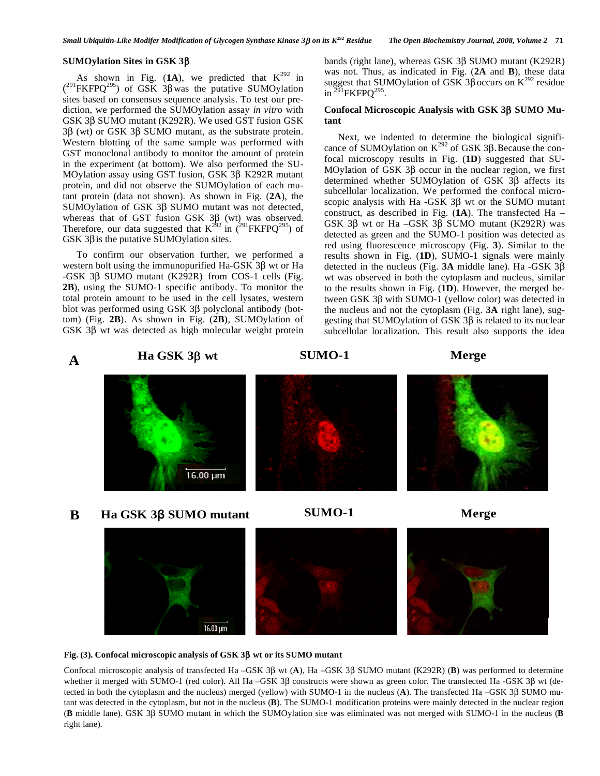## **SUMOylation Sites in GSK 3**-

As shown in Fig.  $(1A)$ , we predicted that  $K^{292}$  in  $(^{291}$ FKFPQ<sup>295</sup>) of GSK 3 $\beta$  was the putative SUMOylation sites based on consensus sequence analysis. To test our prediction, we performed the SUMOylation assay *in vitro* with GSK 3 $\beta$  SUMO mutant (K292R). We used GST fusion GSK  $3\beta$  (wt) or GSK 3 $\beta$  SUMO mutant, as the substrate protein. Western blotting of the same sample was performed with GST monoclonal antibody to monitor the amount of protein in the experiment (at bottom). We also performed the SU-MOylation assay using GST fusion, GSK 3 $\beta$  K292R mutant protein, and did not observe the SUMOylation of each mutant protein (data not shown). As shown in Fig. (**2A**), the SUMOylation of GSK  $3\beta$  SUMO mutant was not detected, whereas that of GST fusion GSK  $3\beta$  (wt) was observed. Therefore, our data suggested that  $K^{292}$  in  $(^{291}$ FKFPQ<sup>295</sup>) of GSK  $3\beta$  is the putative SUMOylation sites.

 To confirm our observation further, we performed a western bolt using the immunopurified Ha-GSK  $3\beta$  wt or Ha  $-GSK$  3 $\beta$  SUMO mutant (K292R) from COS-1 cells (Fig. **2B**), using the SUMO-1 specific antibody. To monitor the total protein amount to be used in the cell lysates, western blot was performed using GSK  $3\beta$  polyclonal antibody (bottom) (Fig. **2B**). As shown in Fig. (**2B**), SUMOylation of GSK  $3\beta$  wt was detected as high molecular weight protein

bands (right lane), whereas GSK  $3\beta$  SUMO mutant (K292R) was not. Thus, as indicated in Fig. (**2A** and **B**), these data suggest that SUMOylation of GSK 3 $\beta$  occurs on K<sup>292</sup> residue in  $^{291}$ FKFPO $^{295}$ .

## **Confocal Microscopic Analysis with GSK 3β SUMO Mutant**

 Next, we indented to determine the biological significance of SUMOylation on  $K^{292}$  of GSK 3 $\beta$ . Because the confocal microscopy results in Fig. (**1D**) suggested that SU-MOylation of GSK  $3\beta$  occur in the nuclear region, we first determined whether SUMOylation of GSK  $3\beta$  affects its subcellular localization. We performed the confocal microscopic analysis with Ha  $-GSK$  3 $\beta$  wt or the SUMO mutant construct, as described in Fig. (**1A**). The transfected Ha – GSK  $3\beta$  wt or Ha  $-GSK$   $3\beta$  SUMO mutant (K292R) was detected as green and the SUMO-1 position was detected as red using fluorescence microscopy (Fig. **3**). Similar to the results shown in Fig. (**1D**), SUMO-1 signals were mainly detected in the nucleus (Fig.  $3A$  middle lane). Ha -GSK  $3\beta$ wt was observed in both the cytoplasm and nucleus, similar to the results shown in Fig. (**1D**). However, the merged between GSK  $3\beta$  with SUMO-1 (yellow color) was detected in the nucleus and not the cytoplasm (Fig. **3A** right lane), suggesting that SUMOylation of GSK  $3\beta$  is related to its nuclear subcellular localization. This result also supports the idea

#### **Ha GSK 3**β **wt SUMO-1 Merge A**

16.00 µm

**Ha GSK 3**β **SUMO mutant SUMO-1 Merge B**





#### Fig. (3). Confocal microscopic analysis of GSK 3β wt or its SUMO mutant

Confocal microscopic analysis of transfected Ha  $-GSK 3\beta$  wt (A), Ha  $-GSK 3\beta$  SUMO mutant (K292R) (B) was performed to determine whether it merged with SUMO-1 (red color). All Ha –GSK 3 $\beta$  constructs were shown as green color. The transfected Ha -GSK 3 $\beta$  wt (detected in both the cytoplasm and the nucleus) merged (yellow) with SUMO-1 in the nucleus  $(A)$ . The transfected Ha –GSK 3 $\beta$  SUMO mutant was detected in the cytoplasm, but not in the nucleus (**B**). The SUMO-1 modification proteins were mainly detected in the nuclear region (B middle lane). GSK 3 $\beta$  SUMO mutant in which the SUMOylation site was eliminated was not merged with SUMO-1 in the nucleus (B right lane).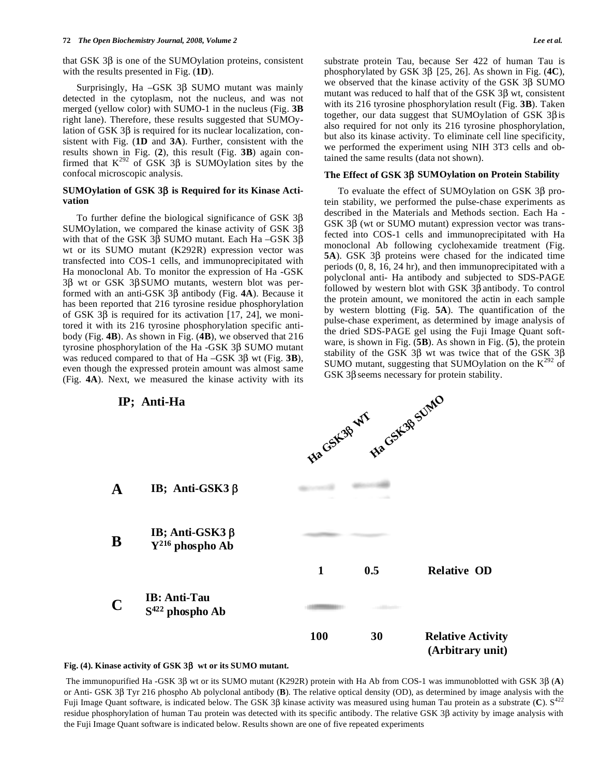that GSK  $3\beta$  is one of the SUMOylation proteins, consistent with the results presented in Fig. (**1D**).

Surprisingly, Ha  $-GSK$  3 $\beta$  SUMO mutant was mainly detected in the cytoplasm, not the nucleus, and was not merged (yellow color) with SUMO-1 in the nucleus (Fig. **3B** right lane). Therefore, these results suggested that SUMOylation of GSK  $3\beta$  is required for its nuclear localization, consistent with Fig. (**1D** and **3A**). Further, consistent with the results shown in Fig. (**2**), this result (Fig. **3B**) again confirmed that  $K^{292}$  of GSK 3 $\beta$  is SUMOylation sites by the confocal microscopic analysis.

## **SUMOylation of GSK 3 is Required for its Kinase Activation**

To further define the biological significance of GSK  $3\beta$ SUMOylation, we compared the kinase activity of GSK  $3\beta$ with that of the GSK 3 $\beta$  SUMO mutant. Each Ha –GSK 3 $\beta$ wt or its SUMO mutant (K292R) expression vector was transfected into COS-1 cells, and immunoprecipitated with Ha monoclonal Ab. To monitor the expression of Ha -GSK  $3\beta$  wt or GSK 3 $\beta$ SUMO mutants, western blot was performed with an anti-GSK  $3\beta$  antibody (Fig. **4A**). Because it has been reported that 216 tyrosine residue phosphorylation of GSK  $3\beta$  is required for its activation [17, 24], we monitored it with its 216 tyrosine phosphorylation specific antibody (Fig. **4B**). As shown in Fig. (**4B**), we observed that 216 tyrosine phosphorylation of the Ha  $-GSK 3\beta$  SUMO mutant was reduced compared to that of  $Ha - GSK$  3 $\beta$  wt (Fig. 3**B**), even though the expressed protein amount was almost same (Fig. **4A**). Next, we measured the kinase activity with its substrate protein Tau, because Ser 422 of human Tau is phosphorylated by GSK  $3\beta$  [25, 26]. As shown in Fig. (4C), we observed that the kinase activity of the GSK 3B SUMO mutant was reduced to half that of the GSK  $3\beta$  wt, consistent with its 216 tyrosine phosphorylation result (Fig. **3B**). Taken together, our data suggest that SUMOylation of GSK  $3\beta$ is also required for not only its 216 tyrosine phosphorylation, but also its kinase activity. To eliminate cell line specificity, we performed the experiment using NIH 3T3 cells and obtained the same results (data not shown).

#### **The Effect of GSK 3 SUMOylation on Protein Stability**

To evaluate the effect of SUMOylation on GSK  $3\beta$  protein stability, we performed the pulse-chase experiments as described in the Materials and Methods section. Each Ha - GSK  $3\beta$  (wt or SUMO mutant) expression vector was transfected into COS-1 cells and immunoprecipitated with Ha monoclonal Ab following cyclohexamide treatment (Fig. **5A**). GSK 3B proteins were chased for the indicated time periods (0, 8, 16, 24 hr), and then immunoprecipitated with a polyclonal anti- Ha antibody and subjected to SDS-PAGE followed by western blot with GSK  $3\beta$  antibody. To control the protein amount, we monitored the actin in each sample by western blotting (Fig. **5A**). The quantification of the pulse-chase experiment, as determined by image analysis of the dried SDS-PAGE gel using the Fuji Image Quant software, is shown in Fig. (**5B**). As shown in Fig. (**5**), the protein stability of the GSK  $3\beta$  wt was twice that of the GSK  $3\beta$ SUMO mutant, suggesting that SUMOylation on the  $K^{292}$  of GSK  $3\beta$  seems necessary for protein stability.



#### **Fig. (4). Kinase activity of GSK 3 wt or its SUMO mutant.**

The immunopurified Ha -GSK 3 $\beta$  wt or its SUMO mutant (K292R) protein with Ha Ab from COS-1 was immunoblotted with GSK 3 $\beta$  (A) or Anti- GSK 3 $\beta$  Tyr 216 phospho Ab polyclonal antibody (B). The relative optical density (OD), as determined by image analysis with the Fuji Image Quant software, is indicated below. The GSK  $3\beta$  kinase activity was measured using human Tau protein as a substrate (C).  $S^{422}$ residue phosphorylation of human Tau protein was detected with its specific antibody. The relative GSK 3B activity by image analysis with the Fuji Image Quant software is indicated below. Results shown are one of five repeated experiments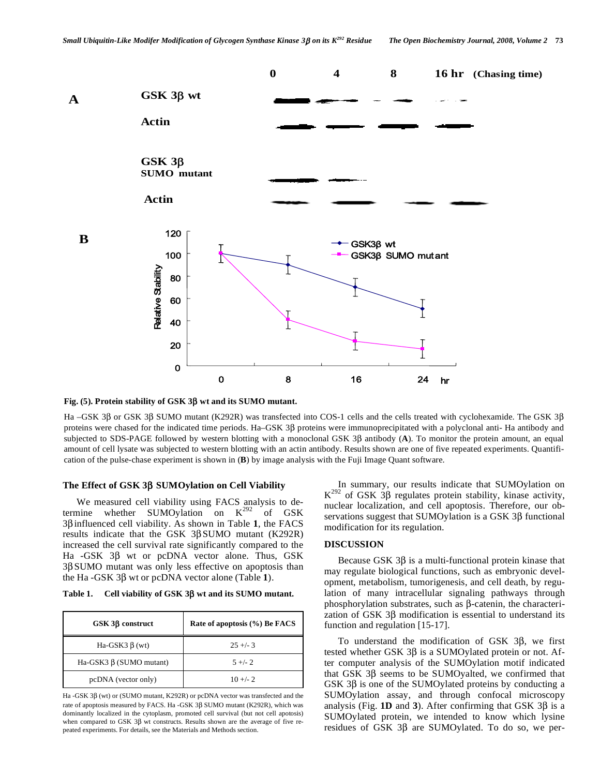

Fig. (5). Protein stability of GSK 3 $\beta$  wt and its SUMO mutant.

Ha –GSK 3B or GSK 3B SUMO mutant (K292R) was transfected into COS-1 cells and the cells treated with cyclohexamide. The GSK 3B proteins were chased for the indicated time periods. Ha–GSK 3 $\beta$  proteins were immunoprecipitated with a polyclonal anti-Ha antibody and subjected to SDS-PAGE followed by western blotting with a monoclonal GSK 3 $\beta$  antibody (A). To monitor the protein amount, an equal amount of cell lysate was subjected to western blotting with an actin antibody. Results shown are one of five repeated experiments. Quantification of the pulse-chase experiment is shown in (**B**) by image analysis with the Fuji Image Quant software.

## **The Effect of GSK 3 SUMOylation on Cell Viability**

 We measured cell viability using FACS analysis to determine whether SUMOylation on  $K^{292}$  of GSK  $3\beta$  influenced cell viability. As shown in Table 1, the FACS results indicate that the GSK  $3\beta$ SUMO mutant (K292R) increased the cell survival rate significantly compared to the Ha  $-GSK$  3 $\beta$  wt or pcDNA vector alone. Thus, GSK 3SUMO mutant was only less effective on apoptosis than the Ha  $-GSK 3\beta$  wt or pcDNA vector alone (Table 1).

Table 1. Cell viability of GSK 3 $\beta$  wt and its SUMO mutant.

| $GSK 3\beta$ construct    | Rate of apoptosis (%) Be FACS |
|---------------------------|-------------------------------|
| Ha-GSK3 $\beta$ (wt)      | $25 + -3$                     |
| Ha-GSK3 $β$ (SUMO mutant) | $5 +/- 2$                     |
| pcDNA (vector only)       | $10 + -2$                     |

Ha -GSK  $3\beta$  (wt) or (SUMO mutant, K292R) or pcDNA vector was transfected and the rate of apoptosis measured by FACS. Ha -GSK  $3\beta$  SUMO mutant (K292R), which was dominantly localized in the cytoplasm, promoted cell survival (but not cell apotosis) when compared to GSK  $3\beta$  wt constructs. Results shown are the average of five repeated experiments. For details, see the Materials and Methods section.

 In summary, our results indicate that SUMOylation on  $K^{292}$  of GSK 3 $\beta$  regulates protein stability, kinase activity, nuclear localization, and cell apoptosis. Therefore, our observations suggest that SUMOylation is a GSK  $3\beta$  functional modification for its regulation.

## **DISCUSSION**

Because GSK  $3\beta$  is a multi-functional protein kinase that may regulate biological functions, such as embryonic development, metabolism, tumorigenesis, and cell death, by regulation of many intracellular signaling pathways through phosphorylation substrates, such as  $\beta$ -catenin, the characterization of GSK  $3\beta$  modification is essential to understand its function and regulation [15-17].

To understand the modification of GSK  $3\beta$ , we first tested whether GSK  $3\beta$  is a SUMOylated protein or not. After computer analysis of the SUMOylation motif indicated that GSK  $3\beta$  seems to be SUMOyalted, we confirmed that GSK  $3\beta$  is one of the SUMOylated proteins by conducting a SUMOylation assay, and through confocal microscopy analysis (Fig. **1D** and **3**). After confirming that GSK  $3\beta$  is a SUMOylated protein, we intended to know which lysine residues of GSK  $3\beta$  are SUMOylated. To do so, we per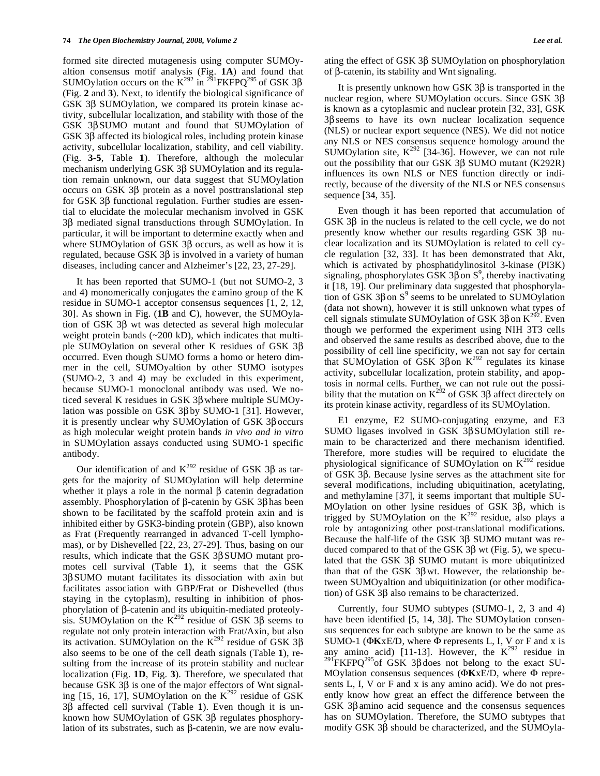formed site directed mutagenesis using computer SUMOyaltion consensus motif analysis (Fig. **1A**) and found that SUMOylation occurs on the  $K^{292}$  in <sup>291</sup>FKFPQ<sup>295</sup> of GSK 3 $\beta$ (Fig. **2** and **3**). Next, to identify the biological significance of GSK 3 $\beta$  SUMOylation, we compared its protein kinase activity, subcellular localization, and stability with those of the GSK 3 $\beta$ SUMO mutant and found that SUMOylation of GSK 3 $\beta$  affected its biological roles, including protein kinase activity, subcellular localization, stability, and cell viability. (Fig. **3-5**, Table **1**). Therefore, although the molecular mechanism underlying GSK 3ß SUMOylation and its regulation remain unknown, our data suggest that SUMOylation occurs on GSK  $3\beta$  protein as a novel posttranslational step for GSK 3 $\beta$  functional regulation. Further studies are essential to elucidate the molecular mechanism involved in GSK 3 $\beta$  mediated signal transductions through SUMOylation. In particular, it will be important to determine exactly when and where SUMOylation of GSK  $3\beta$  occurs, as well as how it is regulated, because GSK  $3\beta$  is involved in a variety of human diseases, including cancer and Alzheimer's [22, 23, 27-29].

 It has been reported that SUMO-1 (but not SUMO-2, 3 and 4) monomerically conjugates the  $\varepsilon$  amino group of the K residue in SUMO-1 acceptor consensus sequences [1, 2, 12, 30]. As shown in Fig. (**1B** and **C**), however, the SUMOylation of GSK  $3\beta$  wt was detected as several high molecular weight protein bands (~200 kD), which indicates that multiple SUMOylation on several other K residues of GSK  $3\beta$ occurred. Even though SUMO forms a homo or hetero dimmer in the cell, SUMOyaltion by other SUMO isotypes (SUMO-2, 3 and 4) may be excluded in this experiment, because SUMO-1 monoclonal antibody was used. We noticed several K residues in GSK  $3\beta$  where multiple SUMOylation was possible on GSK  $3\beta$  by SUMO-1 [31]. However, it is presently unclear why SUMOylation of GSK  $3\beta$  occurs as high molecular weight protein bands *in vivo and in vitro* in SUMOylation assays conducted using SUMO-1 specific antibody.

Our identification of and  $K^{292}$  residue of GSK 3 $\beta$  as targets for the majority of SUMOylation will help determine whether it plays a role in the normal  $\beta$  catenin degradation assembly. Phosphorylation of  $\beta$ -catenin by GSK 3 $\beta$  has been shown to be facilitated by the scaffold protein axin and is inhibited either by GSK3-binding protein (GBP), also known as Frat (Frequently rearranged in advanced T-cell lymphomas), or by Dishevelled [22, 23, 27-29]. Thus, basing on our results, which indicate that the GSK  $3\beta$ SUMO mutant promotes cell survival (Table **1**), it seems that the GSK  $3\beta$  SUMO mutant facilitates its dissociation with axin but facilitates association with GBP/Frat or Dishevelled (thus staying in the cytoplasm), resulting in inhibition of phosphorylation of  $\beta$ -catenin and its ubiquitin-mediated proteolysis. SUMOylation on the  $K^{292}$  residue of GSK 3 $\beta$  seems to regulate not only protein interaction with Frat/Axin, but also its activation. SUMOylation on the  $K^{292}$  residue of GSK 3 $\beta$ also seems to be one of the cell death signals (Table **1**), resulting from the increase of its protein stability and nuclear localization (Fig. **1D**, Fig. **3**). Therefore, we speculated that because GSK  $3\beta$  is one of the major effectors of Wnt signaling [15, 16, 17], SUMOylation on the  $K^{292}$  residue of GSK  $3\beta$  affected cell survival (Table 1). Even though it is unknown how SUMOylation of GSK 3ß regulates phosphorylation of its substrates, such as  $\beta$ -catenin, we are now evaluating the effect of GSK  $3\beta$  SUMOylation on phosphorylation of  $\beta$ -catenin, its stability and Wnt signaling.

It is presently unknown how GSK  $3\beta$  is transported in the nuclear region, where SUMOylation occurs. Since GSK  $3\beta$ is known as a cytoplasmic and nuclear protein [32, 33], GSK  $3\beta$  seems to have its own nuclear localization sequence (NLS) or nuclear export sequence (NES). We did not notice any NLS or NES consensus sequence homology around the SUMOylation site,  $K^{292}$  [34-36]. However, we can not rule out the possibility that our GSK  $3\beta$  SUMO mutant (K292R) influences its own NLS or NES function directly or indirectly, because of the diversity of the NLS or NES consensus sequence [34, 35].

 Even though it has been reported that accumulation of GSK  $3\beta$  in the nucleus is related to the cell cycle, we do not presently know whether our results regarding GSK  $3\beta$  nuclear localization and its SUMOylation is related to cell cycle regulation [32, 33]. It has been demonstrated that Akt, which is activated by phosphatidylinositol 3-kinase (PI3K) signaling, phosphorylates GSK 3 $\beta$  on S<sup>9</sup>, thereby inactivating it [18, 19]. Our preliminary data suggested that phosphorylation of GSK 3 $\beta$  on S<sup>9</sup> seems to be unrelated to SUMOylation (data not shown), however it is still unknown what types of cell signals stimulate SUMOylation of GSK 3 $\beta$  on  $K^{292}$ . Even though we performed the experiment using NIH 3T3 cells and observed the same results as described above, due to the possibility of cell line specificity, we can not say for certain that SUMOylation of GSK 3 $\beta$ on K<sup>292</sup> regulates its kinase activity, subcellular localization, protein stability, and apoptosis in normal cells. Further, we can not rule out the possibility that the mutation on  $K^{292}$  of GSK 3 $\beta$  affect directely on its protein kinase activity, regardless of its SUMOylation.

 E1 enzyme, E2 SUMO-conjugating enzyme, and E3 SUMO ligases involved in GSK  $3\beta$ SUMOylation still remain to be characterized and there mechanism identified. Therefore, more studies will be required to elucidate the physiological significance of SUMOylation on  $K^{292}$  residue of GSK  $3\beta$ . Because lysine serves as the attachment site for several modifications, including ubiquitination, acetylating, and methylamine [37], it seems important that multiple SU-MOylation on other lysine residues of GSK  $3\beta$ , which is trigged by SUMOylation on the  $K^{292}$  residue, also plays a role by antagonizing other post-translational modifications. Because the half-life of the GSK  $3\beta$  SUMO mutant was reduced compared to that of the GSK  $3\beta$  wt (Fig. 5), we speculated that the GSK  $3\beta$  SUMO mutant is more ubiqutinized than that of the GSK  $3\beta$  wt. However, the relationship between SUMOyaltion and ubiquitinization (or other modification) of GSK  $3\beta$  also remains to be characterized.

 Currently, four SUMO subtypes (SUMO-1, 2, 3 and 4) have been identified [5, 14, 38]. The SUMOylation consensus sequences for each subtype are known to be the same as SUMO-1 ( $\Phi$ KxE/D, where  $\Phi$  represents L, I, V or F and x is any amino acid) [11-13]. However, the  $K^{292}$  residue in <sup>291</sup>FKFPQ<sup>295</sup>of GSK 3 $\beta$  does not belong to the exact SU-MOylation consensus sequences ( $\Phi$ KxE/D, where  $\Phi$  represents L, I, V or F and x is any amino acid). We do not presently know how great an effect the difference between the GSK  $3\beta$ amino acid sequence and the consensus sequences has on SUMOylation. Therefore, the SUMO subtypes that modify GSK 3 $\beta$  should be characterized, and the SUMOyla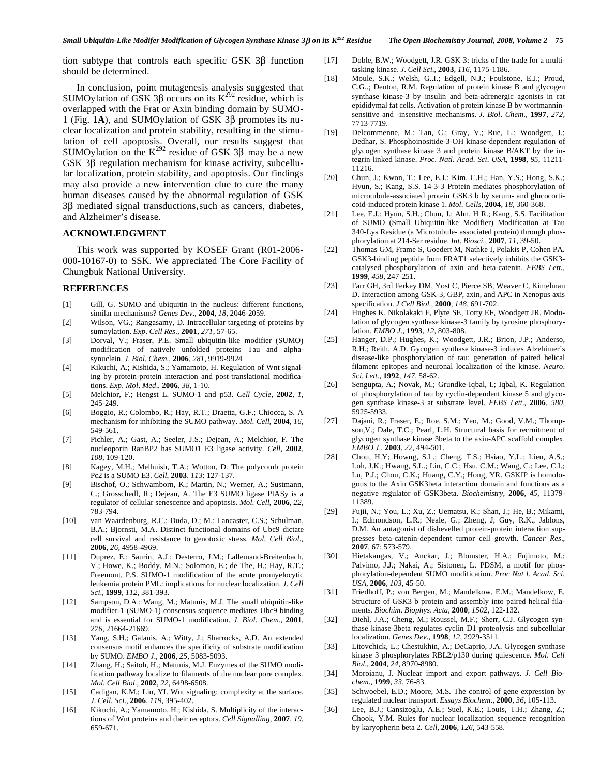tion subtype that controls each specific GSK 3B function should be determined.

 In conclusion, point mutagenesis analysis suggested that SUMOylation of GSK  $3\beta$  occurs on its  $K^{292}$  residue, which is overlapped with the Frat or Axin binding domain by SUMO-1 (Fig.  $1$ A), and SUMOylation of GSK  $3\beta$  promotes its nuclear localization and protein stability, resulting in the stimulation of cell apoptosis. Overall, our results suggest that SUMOylation on the  $K^{292}$  residue of GSK 3 $\beta$  may be a new GSK  $3\beta$  regulation mechanism for kinase activity, subcellular localization, protein stability, and apoptosis. Our findings may also provide a new intervention clue to cure the many human diseases caused by the abnormal regulation of GSK  $3\beta$  mediated signal transductions, such as cancers, diabetes, and Alzheimer's disease.

## **ACKNOWLEDGMENT**

 This work was supported by KOSEF Grant (R01-2006- 000-10167-0) to SSK. We appreciated The Core Facility of Chungbuk National University.

#### **REFERENCES**

- [1] Gill, G. SUMO and ubiquitin in the nucleus: different functions, similar mechanisms? *Genes Dev*., **2004**, *18*, 2046-2059.
- [2] Wilson, VG.; Rangasamy, D. Intracellular targeting of proteins by sumoylation. *Exp*. *Cell Res*., **2001**, *271*, 57-65.
- [3] Dorval, V.; Fraser, P.E. Small ubiquitin-like modifier (SUMO) modification of natively unfolded proteins Tau and alphasynuclein. *J*. *Biol*. *Chem*., **2006**, *281,* 9919-9924
- [4] Kikuchi, A.; Kishida, S.; Yamamoto, H. Regulation of Wnt signaling by protein-protein interaction and post-translational modifications. *Exp*. *Mol*. *Med*., **2006**, *38*, 1-10.
- [5] Melchior, F.; Hengst L. SUMO-1 and p53. *Cell Cycle*, **2002**, *1*, 245-249.
- [6] Boggio, R.; Colombo, R.; Hay, R.T.; Draetta, G.F.; Chiocca, S. A mechanism for inhibiting the SUMO pathway. *Mol*. *Cell*, **2004**, *16,* 549-561.
- [7] Pichler, A.; Gast, A.; Seeler, J.S.; Dejean, A.; Melchior, F. The nucleoporin RanBP2 has SUMO1 E3 ligase activity. *Cell*, **2002**, *108*, 109-120.
- [8] Kagey, M.H.; Melhuish, T.A.; Wotton, D. The polycomb protein Pc2 is a SUMO E3. *Cell*, **2003**, *113*: 127-137.
- [9] Bischof, O.; Schwamborn, K.; Martin, N.; Werner, A.; Sustmann, C.; Grosschedl, R.; Dejean, A. The E3 SUMO ligase PIASy is a regulator of cellular senescence and apoptosis. *Mol*. *Cell*, **2006**, *22,* 783-794.
- [10] van Waardenburg, R.C.; Duda, D.; M.; Lancaster, C.S.; Schulman, B.A.; Bjornsti, M.A. Distinct functional domains of Ubc9 dictate cell survival and resistance to genotoxic stress. *Mol*. *Cell Biol*., **2006**, *26,* 4958-4969.
- [11] Duprez, E.; Saurin, A.J.; Desterro, J.M.; Lallemand-Breitenbach, V.; Howe, K.; Boddy, M.N.; Solomon, E.; de The, H.; Hay, R.T.; Freemont, P.S. SUMO-1 modification of the acute promyelocytic leukemia protein PML: implications for nuclear localization. *J*. *Cell Sci*., **1999**, *112*, 381-393.
- [12] Sampson, D.A.; Wang, M.; Matunis, M.J. The small ubiquitin-like modifier-1 (SUMO-1) consensus sequence mediates Ubc9 binding and is essential for SUMO-1 modification. *J*. *Biol*. *Chem*., **2001**, *276*, 21664-21669.
- [13] Yang, S.H.; Galanis, A.; Witty, J.; Sharrocks, A.D. An extended consensus motif enhances the specificity of substrate modification by SUMO. *EMBO J*., **2006**, *25,* 5083-5093.
- [14] Zhang, H.; Saitoh, H.; Matunis, M.J. Enzymes of the SUMO modification pathway localize to filaments of the nuclear pore complex. *Mol*. *Cell Biol*., **2002**, *22*, 6498-6508.
- [15] Cadigan, K.M.; Liu, YI. Wnt signaling: complexity at the surface. *J*. *Cell*. *Sci*., **2006**, *119,* 395-402.
- [16] Kikuchi, A.; Yamamoto, H.; Kishida, S. Multiplicity of the interactions of Wnt proteins and their receptors. *Cell Signalling*, **2007**, *19*, 659-671.
- [17] Doble, B.W.; Woodgett, J.R. GSK-3: tricks of the trade for a multitasking kinase. *J*. *Cell Sci*., **2003**, *116*, 1175-1186.
- [18] Moule, S.K.; Welsh, G.I.; Edgell, N.J.; Foulstone, E.J.; Proud, C.G..; Denton, R.M. Regulation of protein kinase B and glycogen synthase kinase-3 by insulin and beta-adrenergic agonists in rat epididymal fat cells. Activation of protein kinase B by wortmanninsensitive and -insensitive mechanisms. *J*. *Biol*. *Chem*., **1997**, *272,* 7713-7719.
- [19] Delcommenne, M.; Tan, C.; Gray, V.; Rue, L.; Woodgett, J.; Dedhar, S. Phosphoinositide-3-OH kinase-dependent regulation of glycogen synthase kinase 3 and protein kinase B/AKT by the integrin-linked kinase. *Proc*. *Natl*. *Acad*. *Sci*. *USA*, **1998**, *95*, 11211- 11216.
- [20] Chun, J.; Kwon, T.; Lee, E.J.; Kim, C.H.; Han, Y.S.; Hong, S.K.; Hyun, S.; Kang, S.S. 14-3-3 Protein mediates phosphorylation of microtubule-associated protein GSK3 b by serum- and glucocorticoid-induced protein kinase 1. *Mol*. *Cells*, **2004**, *18*, 360-368.
- [21] Lee, E.J.; Hyun, S.H.; Chun, J.; Ahn, H R.; Kang, S.S. Facilitation of SUMO (Small Ubiquitin-like Modifier) Modification at Tau 340-Lys Residue (a Microtubule- associated protein) through phosphorylation at 214-Ser residue. *Int*. *Biosci*., **2007**, *11*, 39-50.
- [22] Thomas GM, Frame S, Goedert M, Nathke I, Polakis P, Cohen PA. GSK3-binding peptide from FRAT1 selectively inhibits the GSK3 catalysed phosphorylation of axin and beta-catenin. *FEBS Lett.,* **1999**, *458*, 247-251.
- [23] Farr GH, 3rd Ferkey DM, Yost C, Pierce SB, Weaver C, Kimelman D. Interaction among GSK-3, GBP, axin, and APC in Xenopus axis specification. *J Cell Biol.,* **2000**, *148*, 691-702.
- [24] Hughes K, Nikolakaki E, Plyte SE, Totty EF, Woodgett JR. Modulation of glycogen synthase kinase-3 family by tyrosine phosphorylation. *EMBO J*., **1993**, *12*, 803-808.
- [25] Hanger, D.P.; Hughes, K.; Woodgett, J.R.; Brion, J.P.; Anderso, R.H.; Reith, A.D. Gycogen synthase kinase-3 induces Alzehimer's disease-like phosphorylation of tau: generation of paired helical filament epitopes and neuronal localization of the kinase. *Neuro*. *Sci*. *Lett*., **1992**, *147,* 58-62.
- [26] Sengupta, A.; Novak, M.; Grundke-Iqbal, I.; Iqbal, K. Regulation of phosphorylation of tau by cyclin-dependent kinase 5 and glycogen synthase kinase-3 at substrate level. *FEBS Lett*., **2006***, 580*, 5925-5933.
- [27] Dajani, R.; Fraser, E.; Roe, S.M.; Yeo, M.; Good, V.M.; Thompson,V.; Dale, T.C.; Pearl, L.H. Structural basis for recruitment of glycogen synthase kinase 3beta to the axin-APC scaffold complex. *EMBO J*., **2003**, *22*, 494-501.
- [28] Chou, H.Y; Howng, S.L.; Cheng, T.S.; Hsiao, Y.L.; Lieu, A.S.; Loh, J.K.; Hwang, S.L.; Lin, C.C.; Hsu, C.M.; Wang, C.; Lee, C.I.; Lu, P.J.; Chou, C.K.; Huang, C.Y.; Hong, YR. GSKIP is homologous to the Axin GSK3beta interaction domain and functions as a negative regulator of GSK3beta. *Biochemistry*, **2006**, *45*, 11379- 11389.
- [29] Fujii, N.; You, L.; Xu, Z.; Uematsu, K.; Shan, J.; He, B.; Mikami, I.; Edmondson, L.R.; Neale, G.; Zheng, J, Guy, R.K., Jablons, D.M. An antagonist of dishevelled protein-protein interaction suppresses beta-catenin-dependent tumor cell growth. *Cancer Res*., **2007**, 67: 573-579.
- [30] Hietakangas, V.; Anckar, J.; Blomster, H.A.; Fujimoto, M.; Palvimo, J.J.; Nakai, A.; Sistonen, L. PDSM, a motif for phosphorylation-dependent SUMO modification. *Proc Nat l*. *Acad*. *Sci*. *USA*, **2006**, *103*, 45-50.
- [31] Friedhoff, P.; von Bergen, M.; Mandelkow, E.M.; Mandelkow, E. Structure of GSK3 b protein and assembly into paired helical filaments. *Biochim*. *Biophys*. *Acta*, **2000**, *1502*, 122-132.
- [32] Diehl, J.A.; Cheng, M.; Roussel, M.F.; Sherr, C.J. Glycogen synthase kinase-3beta regulates cyclin D1 proteolysis and subcellular localization. *Genes Dev*., **1998**, *12*, 2929-3511.
- [33] Litovchick, L.; Chestukhin, A.; DeCaprio, J.A. Glycogen synthase kinase 3 phosphorylates RBL2/p130 during quiescence*. Mol*. *Cell Biol*., **2004**, *24*, 8970-8980.
- [34] Moroianu, J. Nuclear import and export pathways. *J*. *Cell Biochem*., **1999**, *33*, 76-83.
- [35] Schwoebel, E.D.; Moore, M.S. The control of gene expression by regulated nuclear transport. *Essays Biochem*., **2000**, *36*, 105-113.
- [36] Lee, B.J.; Cansizoglu, A.E.; Suel, K.E.; Louis, T.H.; Zhang, Z.; Chook, Y.M. Rules for nuclear localization sequence recognition by karyopherin beta 2. *Cell*, **2006***, 126*, 543-558.